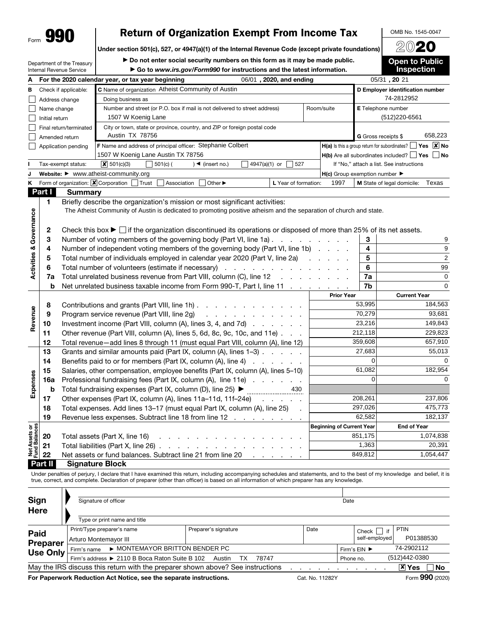Department of the Treasury

## Form **990** Peturn of Organization Exempt From Income Tax DOMB No. 1545-00.<br>Under section 501(c), 527, or 4947(a)(1) of the Internal Revenue Code (except private foundations) 2020

Under section 501(c), 527, or 4947(a)(1) of the Internal Revenue Code (except private foundations)

▶ Do not enter social security numbers on this form as it may be made public.

▶ Go to *www.irs.gov/Form990* for instructions and the latest information.

Internal Revenue Service A For the 2020 calendar year, or tax year beginning , 2020, and ending , 20 06/01, 2020, and ending **B** Check if applicable: C Name of organization Atheist Community of Austin D Employer identification number  $\Box$ Address change Doing business as oing business as T4-2812952<br>umber and street (or P.O. box if mail is not delivered to street address) Room/suite **E** Telephone number<br>1507 W Koenig Lane (512)220-6561 Name change E Telephone number  $\perp$ Number and street (or P.O. box if mail is not delivered to street address) | Room/suite Initial return  $\Box$  $\Box$ Final return/terminated City or town, state or province, country, and ZIP or foreign postal code П Amended return Austin TX 78756  $\begin{array}{ccc} \textbf{G} \text{ Gross receipts} \, \$ & 658,223 \ \textbf{Stephanie Colbert} & & \textbf{H(a) Is this a group return for subordinates?} \end{array} \begin{array}{ccc} \textbf{Yes} & \textbf{X} \end{array}$ G Gross receipts \$ F Name and address of principal officer: Stephanie Colbert  $\Box$ Application pending 1507 W Koenig Lane Austin TX 78756  $H(b)$  Are all subordinates included?  $\Box$  Yes  $\Box$  No Tax-exempt status:  $\boxed{\mathbf{X}}$  501(c)(3)  $\boxed{\phantom{0}}$  501(c)( $\boxed{\phantom{0}}$  )  $\boxed{\phantom{0}}$  (insert no.)  $\boxed{\phantom{0}}$  4947(a)(1) or  $\boxed{\phantom{0}}$  527  $\overline{\mathsf{X}}$  501(c)(3) If "No," attach a list. See instructions H(c) Group exemption number ▶ J Website: ▶ www.atheist-community.org K Form of organization:  $\boxed{\mathbf{X}}$  Corporation  $\boxed{\phantom{\mathbf{X}}\mathbf{I}}$  Trust  $\boxed{\phantom{\mathbf{X}}\mathbf{A}}$  Association  $\boxed{\phantom{\mathbf{X}}\mathbf{I}}$  Other  $\blacktriangleright$  Legar of formation: 1997 M State of legal domicile: Texas Part I Summary 1 Briefly describe the organization's mission or most significant activities: The Atheist Community of Austin is dedicated to promoting positive atheism and the separation of church and state.emance 2 Check this box  $\blacktriangleright \Box$  if the organization discontinued its operations or disposed of more than 25% of its net assets.

|                                |              | The Atheist Community of Austin is dedicated to promoting positive atheism and the separation of church and state.                          |                                  |          |                     |
|--------------------------------|--------------|---------------------------------------------------------------------------------------------------------------------------------------------|----------------------------------|----------|---------------------|
| Governance                     | $\mathbf{2}$ | Check this box $\blacktriangleright$ $\Box$ if the organization discontinued its operations or disposed of more than 25% of its net assets. |                                  |          |                     |
|                                | 3            | Number of voting members of the governing body (Part VI, line 1a)                                                                           |                                  | 3        | 9                   |
| య                              | 4            | Number of independent voting members of the governing body (Part VI, line 1b)                                                               |                                  | 4        | 9                   |
| <b>Activities</b>              | 5            | Total number of individuals employed in calendar year 2020 (Part V, line 2a)                                                                |                                  | 5        | $\overline{c}$      |
|                                | 6            |                                                                                                                                             |                                  | 6        | 99                  |
|                                | 7a           | Total unrelated business revenue from Part VIII, column (C), line 12                                                                        |                                  | 7a       | $\mathbf 0$         |
|                                | b            | Net unrelated business taxable income from Form 990-T, Part I, line 11                                                                      |                                  | 7b       | $\mathbf 0$         |
|                                |              |                                                                                                                                             | <b>Prior Year</b>                |          | <b>Current Year</b> |
|                                | 8            | Contributions and grants (Part VIII, line 1h)                                                                                               |                                  | 53,995   | 184,563             |
| Revenue                        | 9            | Program service revenue (Part VIII, line 2g)                                                                                                |                                  | 70,279   | 93,681              |
|                                | 10           | Investment income (Part VIII, column (A), lines 3, 4, and 7d)                                                                               |                                  | 23,216   | 149,843             |
|                                | 11           | Other revenue (Part VIII, column (A), lines 5, 6d, 8c, 9c, 10c, and 11e)                                                                    |                                  | 212,118  | 229,823             |
|                                | 12           | Total revenue-add lines 8 through 11 (must equal Part VIII, column (A), line 12)                                                            |                                  | 359,608  | 657,910             |
|                                | 13           | Grants and similar amounts paid (Part IX, column (A), lines 1-3)                                                                            |                                  | 27,683   | 55,013              |
|                                | 14           | Benefits paid to or for members (Part IX, column (A), line 4)                                                                               |                                  | $\Omega$ | 0                   |
|                                | 15           | Salaries, other compensation, employee benefits (Part IX, column (A), lines 5-10)                                                           |                                  | 61,082   | 182,954             |
|                                | 16a          | Professional fundraising fees (Part IX, column (A), line 11e)                                                                               |                                  | 0        | 0                   |
| Expenses                       | b            | Total fundraising expenses (Part IX, column (D), line 25) ▶ ____________________<br>430                                                     |                                  |          |                     |
|                                | 17           | Other expenses (Part IX, column (A), lines 11a-11d, 11f-24e)                                                                                |                                  | 208,261  | 237,806             |
|                                | 18           | Total expenses. Add lines 13–17 (must equal Part IX, column (A), line 25)<br>$\sim$                                                         |                                  | 297,026  | 475,773             |
|                                | 19           | Revenue less expenses. Subtract line 18 from line 12                                                                                        |                                  | 62,582   | 182,137             |
|                                |              |                                                                                                                                             | <b>Beginning of Current Year</b> |          | <b>End of Year</b>  |
|                                | 20           | Total assets (Part X, line 16)<br>and the contract of the contract of the contract of the                                                   |                                  | 851,175  | 1,074,838           |
| Net Assets or<br>Fund Balances | 21           | Total liabilities (Part X, line 26) $\ldots$ $\ldots$ $\ldots$ $\ldots$ $\ldots$ $\ldots$ $\ldots$                                          |                                  | 1,363    | 20,391              |
|                                | 22           | Net assets or fund balances. Subtract line 21 from line 20<br>the company of the company of                                                 |                                  | 849,812  | 1,054,447           |
|                                |              | Observational Diagonal                                                                                                                      |                                  |          |                     |

**Part II** Signature Block

Under penalties of perjury, I declare that I have examined this return, including accompanying schedules and statements, and to the best of my knowledge and belief, it is true, correct, and complete. Declaration of preparer (other than officer) is based on all information of which preparer has any knowledge.

| <b>Sign</b><br><b>Here</b> | Signature of officer                                                                               |                      |      | Date          |                           |  |  |  |  |  |
|----------------------------|----------------------------------------------------------------------------------------------------|----------------------|------|---------------|---------------------------|--|--|--|--|--|
|                            | Type or print name and title                                                                       |                      |      |               |                           |  |  |  |  |  |
| Paid                       | Print/Type preparer's name                                                                         | Preparer's signature | Date | lif<br>Check  | <b>PTIN</b>               |  |  |  |  |  |
| Preparer                   | Arturo Montemayor III                                                                              |                      |      | self-employed | P01388530                 |  |  |  |  |  |
| <b>Use Only</b>            | ▶ MONTEMAYOR BRITTON BENDER PC<br>Firm's name                                                      |                      |      | Firm's EIN ▶  | 74-2902112                |  |  |  |  |  |
|                            | (512)442-0380<br>Firm's address ▶ 2110 B Boca Raton Suite B 102 Austin<br>ТX<br>78747<br>Phone no. |                      |      |               |                           |  |  |  |  |  |
|                            | May the IRS discuss this return with the preparer shown above? See instructions                    |                      |      |               | $ \mathbf{x} $ Yes<br>∣No |  |  |  |  |  |
|                            |                                                                                                    |                      |      |               | ---                       |  |  |  |  |  |

For Paperwork Reduction Act Notice, see the separate instructions. Cat. No. 11282Y Form 990 (2020)

OMB No. 1545-0047

Open to Public Inspection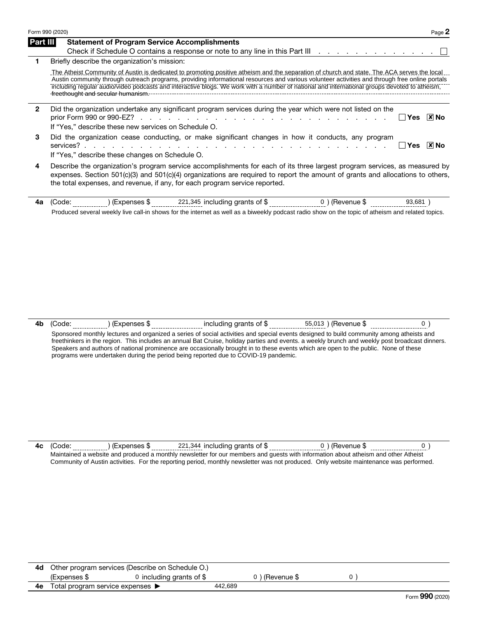|                 | Form 990 (2020)<br>Page 2                                                                                                                                                                                                                                                                                                                                                                                                                                                                      |
|-----------------|------------------------------------------------------------------------------------------------------------------------------------------------------------------------------------------------------------------------------------------------------------------------------------------------------------------------------------------------------------------------------------------------------------------------------------------------------------------------------------------------|
| <b>Part III</b> | <b>Statement of Program Service Accomplishments</b><br>Check if Schedule O contains a response or note to any line in this Part III                                                                                                                                                                                                                                                                                                                                                            |
| 1.              | Briefly describe the organization's mission:<br>The Atheist Community of Austin is dedicated to promoting positive atheism and the separation of church and state. The ACA serves the local<br>Austin community through outreach programs, providing informational resources and various volunteer activities and through free online portals<br>Tricluding regular audio/video podcasts and interactive blogs. We work with a number of national and international groups devoted to atheism, |
| $\mathbf{2}$    | Did the organization undertake any significant program services during the year which were not listed on the<br>$ \overline{x} $ No<br>Yes<br>If "Yes," describe these new services on Schedule O.                                                                                                                                                                                                                                                                                             |
| 3               | Did the organization cease conducting, or make significant changes in how it conducts, any program<br>$ \overline{x} $ No<br>∣ l Yes<br>If "Yes," describe these changes on Schedule O.                                                                                                                                                                                                                                                                                                        |
| 4               | Describe the organization's program service accomplishments for each of its three largest program services, as measured by<br>expenses. Section 501(c)(3) and 501(c)(4) organizations are required to report the amount of grants and allocations to others,                                                                                                                                                                                                                                   |

| тс |          | 221<br>-345<br>uldinc<br>ıranıs<br>. эт                                                                           | -------- | .        |
|----|----------|-------------------------------------------------------------------------------------------------------------------|----------|----------|
|    | - AVArol | I weekly live call-in shows for the internet as well as a biweekly podcast radio show on the topic of atheism and |          | `topics. |

the total expenses, and revenue, if any, for each program service reported.

4b (Code: ) (Expenses \$ including grants of \$  $55,013$  ) (Revenue \$  $0$  ) Sponsored monthly lectures and organized a series of social activities and special events designed to build community among atheists and freethinkers in the region. This includes an annual Bat Cruise, holiday parties and events. a weekly brunch and weekly post broadcast dinners. Speakers and authors of national prominence are occasionally brought in to these events which are open to the public. None of these programs were undertaken during the period being reported due to COVID-19 pandemic.

**4c** (Code: ) (Expenses \$ 221,344 including grants of \$ 0) (Revenue \$ 0) Maintained a website and produced a monthly newsletter for our members and guests with information about atheism and other Atheist Community of Austin activities. For the reporting period, monthly newsletter was not produced. Only website maintenance was performed.

|    | <b>4d</b> Other program services (Describe on Schedule O.) |                           |         |                |  |
|----|------------------------------------------------------------|---------------------------|---------|----------------|--|
|    | (Expenses \$                                               | 0 including grants of $$$ |         | 0) (Revenue \$ |  |
| 4е | Total program service expenses $\blacktriangleright$       |                           | 442.689 |                |  |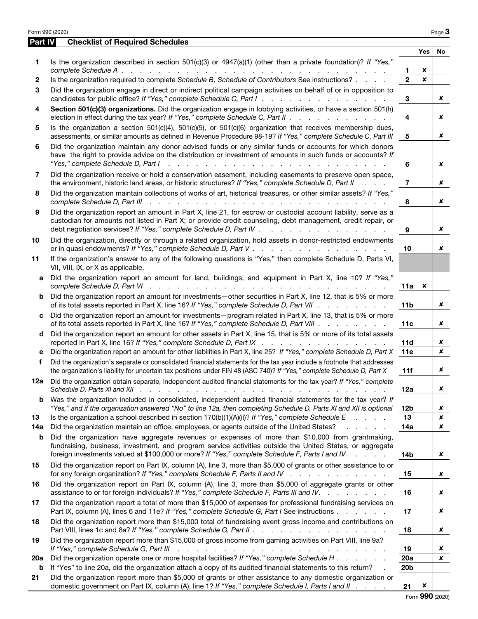| Form 990 (2020) |                                                                                                                                                                                                                                                                                                                                                                                                                                                               |                 |            | Page 3    |
|-----------------|---------------------------------------------------------------------------------------------------------------------------------------------------------------------------------------------------------------------------------------------------------------------------------------------------------------------------------------------------------------------------------------------------------------------------------------------------------------|-----------------|------------|-----------|
| Part IV         | <b>Checklist of Required Schedules</b>                                                                                                                                                                                                                                                                                                                                                                                                                        |                 |            |           |
|                 |                                                                                                                                                                                                                                                                                                                                                                                                                                                               |                 | <b>Yes</b> | <b>No</b> |
| 1               | Is the organization described in section $501(c)(3)$ or $4947(a)(1)$ (other than a private foundation)? If "Yes,"                                                                                                                                                                                                                                                                                                                                             | 1.              | x          |           |
| 2               | Is the organization required to complete Schedule B, Schedule of Contributors See instructions?                                                                                                                                                                                                                                                                                                                                                               | $\mathbf{2}$    | x          |           |
| 3               | Did the organization engage in direct or indirect political campaign activities on behalf of or in opposition to                                                                                                                                                                                                                                                                                                                                              |                 |            |           |
|                 | candidates for public office? If "Yes," complete Schedule C, Part I.                                                                                                                                                                                                                                                                                                                                                                                          | 3               |            | x         |
| 4               | Section 501(c)(3) organizations. Did the organization engage in lobbying activities, or have a section 501(h)<br>election in effect during the tax year? If "Yes," complete Schedule C, Part II                                                                                                                                                                                                                                                               | 4               |            | x         |
| 5               | Is the organization a section $501(c)(4)$ , $501(c)(5)$ , or $501(c)(6)$ organization that receives membership dues,<br>assessments, or similar amounts as defined in Revenue Procedure 98-19? If "Yes," complete Schedule C, Part III                                                                                                                                                                                                                        | 5               |            | x         |
| 6               | Did the organization maintain any donor advised funds or any similar funds or accounts for which donors<br>have the right to provide advice on the distribution or investment of amounts in such funds or accounts? If<br>"Yes," complete Schedule D, Part I<br>$\frac{1}{2}$ , $\frac{1}{2}$ , $\frac{1}{2}$ , $\frac{1}{2}$ , $\frac{1}{2}$ , $\frac{1}{2}$ , $\frac{1}{2}$ , $\frac{1}{2}$ , $\frac{1}{2}$ , $\frac{1}{2}$ , $\frac{1}{2}$ , $\frac{1}{2}$ | 6               |            | ×         |
| 7               | Did the organization receive or hold a conservation easement, including easements to preserve open space,<br>the environment, historic land areas, or historic structures? If "Yes," complete Schedule D, Part II                                                                                                                                                                                                                                             | $\overline{7}$  |            | x         |
| 8               | Did the organization maintain collections of works of art, historical treasures, or other similar assets? If "Yes,"                                                                                                                                                                                                                                                                                                                                           | 8               |            | x         |
| 9               | Did the organization report an amount in Part X, line 21, for escrow or custodial account liability, serve as a<br>custodian for amounts not listed in Part X; or provide credit counseling, debt management, credit repair, or<br>debt negotiation services? If "Yes," complete Schedule D, Part IV .<br>والمتعادل والمتعاد والمتعاد والمتعادلات                                                                                                             | 9               |            | x         |
| 10              | Did the organization, directly or through a related organization, hold assets in donor-restricted endowments                                                                                                                                                                                                                                                                                                                                                  | 10              |            | x         |
| 11              | If the organization's answer to any of the following questions is "Yes," then complete Schedule D, Parts VI,<br>VII, VIII, IX, or X as applicable.                                                                                                                                                                                                                                                                                                            |                 |            |           |
| a               | Did the organization report an amount for land, buildings, and equipment in Part X, line 10? If "Yes,"                                                                                                                                                                                                                                                                                                                                                        | 11a             | x          |           |
| b               | Did the organization report an amount for investments—other securities in Part X, line 12, that is 5% or more<br>of its total assets reported in Part X, line 16? If "Yes," complete Schedule D, Part VII                                                                                                                                                                                                                                                     | 11 <sub>b</sub> |            | x         |
| c               | Did the organization report an amount for investments - program related in Part X, line 13, that is 5% or more<br>of its total assets reported in Part X, line 16? If "Yes," complete Schedule D, Part VIII                                                                                                                                                                                                                                                   | 11c             |            | x         |
| d               | Did the organization report an amount for other assets in Part X, line 15, that is 5% or more of its total assets<br>reported in Part X, line 16? If "Yes," complete Schedule D, Part IX                                                                                                                                                                                                                                                                      | 11d             |            | ×         |
| е               | Did the organization report an amount for other liabilities in Part X, line 25? If "Yes," complete Schedule D, Part X                                                                                                                                                                                                                                                                                                                                         | 11e             |            | x         |
| f               | Did the organization's separate or consolidated financial statements for the tax year include a footnote that addresses<br>the organization's liability for uncertain tax positions under FIN 48 (ASC 740)? If "Yes," complete Schedule D, Part X                                                                                                                                                                                                             | 11f             |            | x         |
| 12a             | Did the organization obtain separate, independent audited financial statements for the tax year? If "Yes," complete                                                                                                                                                                                                                                                                                                                                           | 12a             |            | x         |
| b               | Was the organization included in consolidated, independent audited financial statements for the tax year? If<br>"Yes," and if the organization answered "No" to line 12a, then completing Schedule D, Parts XI and XII is optional                                                                                                                                                                                                                            | 12 <sub>b</sub> |            | x         |
| 13              | Is the organization a school described in section $170(b)(1)(A)(ii)?$ If "Yes," complete Schedule E<br>and the contract of                                                                                                                                                                                                                                                                                                                                    | 13              |            | x         |
| 14a             | Did the organization maintain an office, employees, or agents outside of the United States?                                                                                                                                                                                                                                                                                                                                                                   | 14a             |            | ×         |
| b               | Did the organization have aggregate revenues or expenses of more than \$10,000 from grantmaking,<br>fundraising, business, investment, and program service activities outside the United States, or aggregate<br>foreign investments valued at \$100,000 or more? If "Yes," complete Schedule F, Parts I and IV.                                                                                                                                              | 14b             |            | x         |
| 15              | Did the organization report on Part IX, column (A), line 3, more than \$5,000 of grants or other assistance to or<br>for any foreign organization? If "Yes," complete Schedule F, Parts II and IV                                                                                                                                                                                                                                                             | 15              |            | x         |
| 16              | Did the organization report on Part IX, column (A), line 3, more than \$5,000 of aggregate grants or other<br>assistance to or for foreign individuals? If "Yes," complete Schedule F, Parts III and IV.                                                                                                                                                                                                                                                      | 16              |            | x         |
| 17              | Did the organization report a total of more than \$15,000 of expenses for professional fundraising services on<br>Part IX, column (A), lines 6 and 11e? If "Yes," complete Schedule G, Part I See instructions                                                                                                                                                                                                                                                | 17              |            | ×         |
| 18              | Did the organization report more than \$15,000 total of fundraising event gross income and contributions on                                                                                                                                                                                                                                                                                                                                                   | 18              |            | x         |
| 19              | Did the organization report more than \$15,000 of gross income from gaming activities on Part VIII, line 9a?<br>If "Yes," complete Schedule G, Part III<br>والمتعاون والمتعاون والمتعاون والمتعاونة والمتعاونة والمتعاونة والمتعاونة                                                                                                                                                                                                                          | 19              |            | x         |
| 20a             | Did the organization operate one or more hospital facilities? If "Yes," complete Schedule H                                                                                                                                                                                                                                                                                                                                                                   | 20a             |            | x         |
| b               | If "Yes" to line 20a, did the organization attach a copy of its audited financial statements to this return?                                                                                                                                                                                                                                                                                                                                                  | 20 <sub>b</sub> |            |           |
| 21              | Did the organization report more than \$5,000 of grants or other assistance to any domestic organization or<br>domestic government on Part IX, column (A), line 1? If "Yes," complete Schedule I, Parts I and II                                                                                                                                                                                                                                              | 21              | ×          |           |
|                 |                                                                                                                                                                                                                                                                                                                                                                                                                                                               |                 |            |           |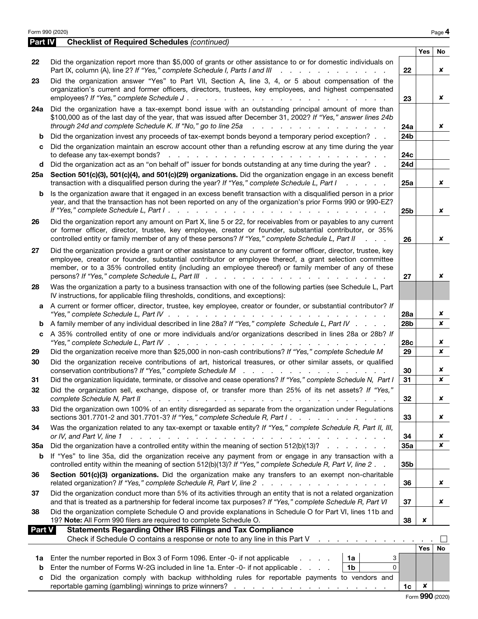|                | Form 990 (2020)                                                                                                                                                                                                                                                                                                                                                                                                                                                                                          |                 |                | Page 4           |
|----------------|----------------------------------------------------------------------------------------------------------------------------------------------------------------------------------------------------------------------------------------------------------------------------------------------------------------------------------------------------------------------------------------------------------------------------------------------------------------------------------------------------------|-----------------|----------------|------------------|
| <b>Part IV</b> | <b>Checklist of Required Schedules (continued)</b>                                                                                                                                                                                                                                                                                                                                                                                                                                                       |                 |                |                  |
|                |                                                                                                                                                                                                                                                                                                                                                                                                                                                                                                          |                 | <b>Yes</b>     | <b>No</b>        |
| 22             | Did the organization report more than \$5,000 of grants or other assistance to or for domestic individuals on<br>Part IX, column (A), line 2? If "Yes," complete Schedule I, Parts I and III<br>realization of the contract of the contract of the contract of the contract of the contract of the contract of                                                                                                                                                                                           | 22              |                | x                |
| 23             | Did the organization answer "Yes" to Part VII, Section A, line 3, 4, or 5 about compensation of the<br>organization's current and former officers, directors, trustees, key employees, and highest compensated<br>employees? If "Yes," complete Schedule J.<br>$\mathcal{L}^{\mathcal{A}}$ . The state of the state of the state of the state of the state of the state of the state of the state of the state of the state of the state of the state of the state of the state of the state of the stat | 23              |                | x                |
| 24a            | Did the organization have a tax-exempt bond issue with an outstanding principal amount of more than<br>\$100,000 as of the last day of the year, that was issued after December 31, 2002? If "Yes," answer lines 24b<br>through 24d and complete Schedule K. If "No," go to line 25a<br>and a state of the contract of the contract                                                                                                                                                                      | 24a             |                | x                |
| b              | Did the organization invest any proceeds of tax-exempt bonds beyond a temporary period exception?                                                                                                                                                                                                                                                                                                                                                                                                        | 24 <sub>b</sub> |                |                  |
| c              | Did the organization maintain an escrow account other than a refunding escrow at any time during the year                                                                                                                                                                                                                                                                                                                                                                                                | 24c             |                |                  |
| d              | Did the organization act as an "on behalf of" issuer for bonds outstanding at any time during the year?                                                                                                                                                                                                                                                                                                                                                                                                  | <b>24d</b>      |                |                  |
| 25a            | Section 501(c)(3), 501(c)(4), and 501(c)(29) organizations. Did the organization engage in an excess benefit<br>transaction with a disqualified person during the year? If "Yes," complete Schedule L, Part I<br>and a state of the                                                                                                                                                                                                                                                                      | 25a             |                | x                |
| b              | Is the organization aware that it engaged in an excess benefit transaction with a disqualified person in a prior<br>year, and that the transaction has not been reported on any of the organization's prior Forms 990 or 990-EZ?                                                                                                                                                                                                                                                                         | 25 <sub>b</sub> |                | x                |
| 26             | Did the organization report any amount on Part X, line 5 or 22, for receivables from or payables to any current<br>or former officer, director, trustee, key employee, creator or founder, substantial contributor, or 35%<br>controlled entity or family member of any of these persons? If "Yes," complete Schedule L, Part II<br><b>Contract Contract</b>                                                                                                                                             | 26              |                | x                |
| 27             | Did the organization provide a grant or other assistance to any current or former officer, director, trustee, key<br>employee, creator or founder, substantial contributor or employee thereof, a grant selection committee<br>member, or to a 35% controlled entity (including an employee thereof) or family member of any of these                                                                                                                                                                    | 27              |                | ×                |
| 28             | Was the organization a party to a business transaction with one of the following parties (see Schedule L, Part<br>IV instructions, for applicable filing thresholds, conditions, and exceptions):                                                                                                                                                                                                                                                                                                        |                 |                |                  |
| a              | A current or former officer, director, trustee, key employee, creator or founder, or substantial contributor? If                                                                                                                                                                                                                                                                                                                                                                                         | 28a             |                | ×                |
| b              | A family member of any individual described in line 28a? If "Yes," complete Schedule L, Part IV                                                                                                                                                                                                                                                                                                                                                                                                          | 28 <sub>b</sub> |                | x                |
| c              | A 35% controlled entity of one or more individuals and/or organizations described in lines 28a or 28b? If                                                                                                                                                                                                                                                                                                                                                                                                | 28c             |                | x                |
| 29             | Did the organization receive more than \$25,000 in non-cash contributions? If "Yes," complete Schedule M                                                                                                                                                                                                                                                                                                                                                                                                 | 29              |                | $\boldsymbol{x}$ |
| 30             | Did the organization receive contributions of art, historical treasures, or other similar assets, or qualified                                                                                                                                                                                                                                                                                                                                                                                           | 30              |                | ×                |
| 31             | Did the organization liquidate, terminate, or dissolve and cease operations? If "Yes," complete Schedule N, Part I                                                                                                                                                                                                                                                                                                                                                                                       | $\overline{31}$ |                | ×                |
| 32             | Did the organization sell, exchange, dispose of, or transfer more than 25% of its net assets? If "Yes,"<br>complete Schedule N, Part II<br>a construction of the construction of the construction of the construction of the construction of the construction of the construction of the construction of the construction of the construction of the construction of the                                                                                                                                 | 32              |                | ×                |
| 33             | Did the organization own 100% of an entity disregarded as separate from the organization under Regulations<br>sections 301.7701-2 and 301.7701-3? If "Yes," complete Schedule R, Part I.                                                                                                                                                                                                                                                                                                                 | 33              |                | x                |
| 34             | Was the organization related to any tax-exempt or taxable entity? If "Yes," complete Schedule R, Part II, III,<br>or IV, and Part V, line 1<br>والمتعاون والمتعاون والمتعاون والمتعاون والمتعاونة والمتعاونة والمتعاونة والمتعاونة والمتعاونة والمتعاونة                                                                                                                                                                                                                                                 | 34              |                | x                |
| <b>35a</b>     | Did the organization have a controlled entity within the meaning of section 512(b)(13)?                                                                                                                                                                                                                                                                                                                                                                                                                  | 35a             |                | ×                |
| b              | If "Yes" to line 35a, did the organization receive any payment from or engage in any transaction with a<br>controlled entity within the meaning of section 512(b)(13)? If "Yes," complete Schedule R, Part V, line 2.                                                                                                                                                                                                                                                                                    | 35b             |                |                  |
| 36             | Section 501(c)(3) organizations. Did the organization make any transfers to an exempt non-charitable<br>related organization? If "Yes," complete Schedule R, Part V, line 2                                                                                                                                                                                                                                                                                                                              | 36              |                | x                |
| 37             | Did the organization conduct more than 5% of its activities through an entity that is not a related organization<br>and that is treated as a partnership for federal income tax purposes? If "Yes," complete Schedule R, Part VI                                                                                                                                                                                                                                                                         | 37              |                | x                |
| 38             | Did the organization complete Schedule O and provide explanations in Schedule O for Part VI, lines 11b and<br>19? Note: All Form 990 filers are required to complete Schedule O.                                                                                                                                                                                                                                                                                                                         | 38              | ×              |                  |
| <b>Part V</b>  | <b>Statements Regarding Other IRS Filings and Tax Compliance</b>                                                                                                                                                                                                                                                                                                                                                                                                                                         |                 |                |                  |
|                | Check if Schedule O contains a response or note to any line in this Part V<br>the contract of the contract of the con-                                                                                                                                                                                                                                                                                                                                                                                   |                 | <b>Yes</b>     | <b>No</b>        |
| 1a             | Enter the number reported in Box 3 of Form 1096. Enter -0- if not applicable<br>1a<br>3                                                                                                                                                                                                                                                                                                                                                                                                                  |                 |                |                  |
| b              | Enter the number of Forms W-2G included in line 1a. Enter -0- if not applicable<br>1 <sub>b</sub><br>$\Omega$                                                                                                                                                                                                                                                                                                                                                                                            |                 |                |                  |
| С              | Did the organization comply with backup withholding rules for reportable payments to vendors and                                                                                                                                                                                                                                                                                                                                                                                                         |                 |                |                  |
|                |                                                                                                                                                                                                                                                                                                                                                                                                                                                                                                          | 1c              | $\pmb{\times}$ |                  |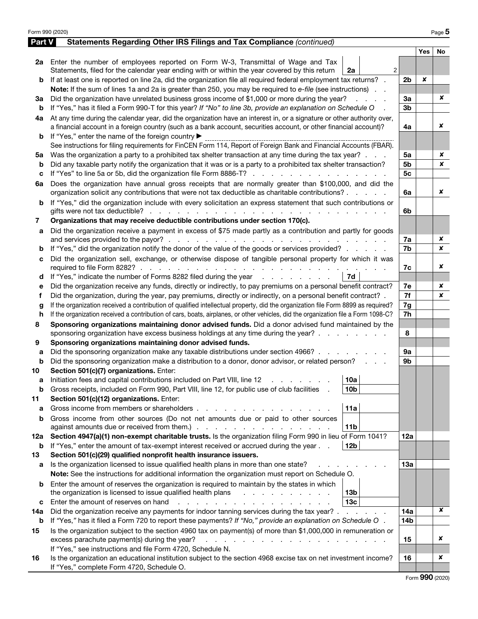| Form 990 (2020) |                                                                                                                                                                                                              |                |            | Page 5 |  |  |  |  |  |
|-----------------|--------------------------------------------------------------------------------------------------------------------------------------------------------------------------------------------------------------|----------------|------------|--------|--|--|--|--|--|
| Part V          | Statements Regarding Other IRS Filings and Tax Compliance (continued)                                                                                                                                        |                |            |        |  |  |  |  |  |
|                 |                                                                                                                                                                                                              |                | <b>Yes</b> | No     |  |  |  |  |  |
|                 | 2a Enter the number of employees reported on Form W-3, Transmittal of Wage and Tax                                                                                                                           |                |            |        |  |  |  |  |  |
|                 | 2<br>Statements, filed for the calendar year ending with or within the year covered by this return<br>2a                                                                                                     |                |            |        |  |  |  |  |  |
| b               | If at least one is reported on line 2a, did the organization file all required federal employment tax returns? .                                                                                             | 2b             | ×          |        |  |  |  |  |  |
|                 | Note: If the sum of lines 1a and 2a is greater than 250, you may be required to e-file (see instructions).                                                                                                   |                |            |        |  |  |  |  |  |
| За              | Did the organization have unrelated business gross income of \$1,000 or more during the year?                                                                                                                |                |            |        |  |  |  |  |  |
| b               | If "Yes," has it filed a Form 990-T for this year? If "No" to line 3b, provide an explanation on Schedule O                                                                                                  |                |            |        |  |  |  |  |  |
| 4а              | At any time during the calendar year, did the organization have an interest in, or a signature or other authority over,                                                                                      |                |            |        |  |  |  |  |  |
|                 | a financial account in a foreign country (such as a bank account, securities account, or other financial account)?                                                                                           | 4a             |            | x      |  |  |  |  |  |
| b               | If "Yes," enter the name of the foreign country ▶                                                                                                                                                            |                |            |        |  |  |  |  |  |
|                 | See instructions for filing requirements for FinCEN Form 114, Report of Foreign Bank and Financial Accounts (FBAR).                                                                                          |                |            |        |  |  |  |  |  |
| 5а              | Was the organization a party to a prohibited tax shelter transaction at any time during the tax year?                                                                                                        | 5a             |            | x      |  |  |  |  |  |
| b               | Did any taxable party notify the organization that it was or is a party to a prohibited tax shelter transaction?                                                                                             | 5b             |            | ×      |  |  |  |  |  |
| c               | If "Yes" to line 5a or 5b, did the organization file Form 8886-T?                                                                                                                                            | 5 <sub>c</sub> |            |        |  |  |  |  |  |
| 6a              | Does the organization have annual gross receipts that are normally greater than \$100,000, and did the                                                                                                       |                |            |        |  |  |  |  |  |
|                 | organization solicit any contributions that were not tax deductible as charitable contributions?                                                                                                             | 6a             |            | x      |  |  |  |  |  |
| b               | If "Yes," did the organization include with every solicitation an express statement that such contributions or                                                                                               |                |            |        |  |  |  |  |  |
|                 |                                                                                                                                                                                                              | 6b             |            |        |  |  |  |  |  |
| 7               | Organizations that may receive deductible contributions under section 170(c).                                                                                                                                |                |            |        |  |  |  |  |  |
| a               | Did the organization receive a payment in excess of \$75 made partly as a contribution and partly for goods                                                                                                  |                |            |        |  |  |  |  |  |
|                 |                                                                                                                                                                                                              | 7a             |            | x      |  |  |  |  |  |
| b               | If "Yes," did the organization notify the donor of the value of the goods or services provided?                                                                                                              | 7b             |            | x      |  |  |  |  |  |
| с               | Did the organization sell, exchange, or otherwise dispose of tangible personal property for which it was                                                                                                     |                |            |        |  |  |  |  |  |
|                 |                                                                                                                                                                                                              | 7c             |            | x      |  |  |  |  |  |
| d               | If "Yes," indicate the number of Forms 8282 filed during the year entertainment of the number of Forms 8282 filed during the year<br>7d                                                                      |                |            |        |  |  |  |  |  |
| е               | Did the organization receive any funds, directly or indirectly, to pay premiums on a personal benefit contract?                                                                                              | 7e             |            | x      |  |  |  |  |  |
| f               | Did the organization, during the year, pay premiums, directly or indirectly, on a personal benefit contract? .                                                                                               | 7f             |            | x      |  |  |  |  |  |
| g               | If the organization received a contribution of qualified intellectual property, did the organization file Form 8899 as required?                                                                             |                |            |        |  |  |  |  |  |
| h               | If the organization received a contribution of cars, boats, airplanes, or other vehicles, did the organization file a Form 1098-C?                                                                           | 7h             |            |        |  |  |  |  |  |
| 8               | Sponsoring organizations maintaining donor advised funds. Did a donor advised fund maintained by the                                                                                                         |                |            |        |  |  |  |  |  |
|                 | sponsoring organization have excess business holdings at any time during the year?                                                                                                                           | 8              |            |        |  |  |  |  |  |
| 9               | Sponsoring organizations maintaining donor advised funds.                                                                                                                                                    |                |            |        |  |  |  |  |  |
| а               | Did the sponsoring organization make any taxable distributions under section 4966?                                                                                                                           | 9a             |            |        |  |  |  |  |  |
| b               | Did the sponsoring organization make a distribution to a donor, donor advisor, or related person?                                                                                                            | 9b             |            |        |  |  |  |  |  |
| 10              | Section 501(c)(7) organizations. Enter:                                                                                                                                                                      |                |            |        |  |  |  |  |  |
|                 | 10a <br>Initiation fees and capital contributions included on Part VIII, line 12 \[matter capital contributions included on Part VIII, line 12 \[matter capital contributions included on Part VIII, line 12 |                |            |        |  |  |  |  |  |
| b               | Gross receipts, included on Form 990, Part VIII, line 12, for public use of club facilities<br>10b                                                                                                           |                |            |        |  |  |  |  |  |
| 11              | Section 501(c)(12) organizations. Enter:                                                                                                                                                                     |                |            |        |  |  |  |  |  |
| a               | 11a<br>Gross income from members or shareholders.                                                                                                                                                            |                |            |        |  |  |  |  |  |
| b               | Gross income from other sources (Do not net amounts due or paid to other sources                                                                                                                             |                |            |        |  |  |  |  |  |
|                 | 11 <sub>b</sub>                                                                                                                                                                                              |                |            |        |  |  |  |  |  |
| 12a             | Section 4947(a)(1) non-exempt charitable trusts. Is the organization filing Form 990 in lieu of Form 1041?                                                                                                   | 12a            |            |        |  |  |  |  |  |
| b               | 12 <sub>b</sub><br>If "Yes," enter the amount of tax-exempt interest received or accrued during the year                                                                                                     |                |            |        |  |  |  |  |  |
| 13              | Section 501(c)(29) qualified nonprofit health insurance issuers.                                                                                                                                             |                |            |        |  |  |  |  |  |
| а               | Is the organization licensed to issue qualified health plans in more than one state?                                                                                                                         | 13a            |            |        |  |  |  |  |  |
|                 | Note: See the instructions for additional information the organization must report on Schedule O.                                                                                                            |                |            |        |  |  |  |  |  |
| b               | Enter the amount of reserves the organization is required to maintain by the states in which                                                                                                                 |                |            |        |  |  |  |  |  |
|                 | the organization is licensed to issue qualified health plans<br>13 <sub>b</sub>                                                                                                                              |                |            |        |  |  |  |  |  |
| с               | 13 <sub>c</sub><br>Enter the amount of reserves on hand<br>and the company of the company of                                                                                                                 |                |            |        |  |  |  |  |  |
| 14a             | Did the organization receive any payments for indoor tanning services during the tax year?.<br>and the company of the                                                                                        | 14a            |            | x      |  |  |  |  |  |
| b               | If "Yes," has it filed a Form 720 to report these payments? If "No," provide an explanation on Schedule O.                                                                                                   | 14b            |            |        |  |  |  |  |  |
| 15              | Is the organization subject to the section 4960 tax on payment(s) of more than \$1,000,000 in remuneration or                                                                                                |                |            |        |  |  |  |  |  |
|                 | excess parachute payment(s) during the year?<br>$\mathbf{r} = \mathbf{r} - \mathbf{r} - \mathbf{r} - \mathbf{r} - \mathbf{r} - \mathbf{r} - \mathbf{r} - \mathbf{r} - \mathbf{r} - \mathbf{r} - \mathbf{r}$  | 15             |            | x      |  |  |  |  |  |
|                 | If "Yes," see instructions and file Form 4720, Schedule N.                                                                                                                                                   |                |            |        |  |  |  |  |  |
| 16              | Is the organization an educational institution subject to the section 4968 excise tax on net investment income?                                                                                              | 16             |            | ×      |  |  |  |  |  |
|                 | If "Yes," complete Form 4720, Schedule O.                                                                                                                                                                    |                |            |        |  |  |  |  |  |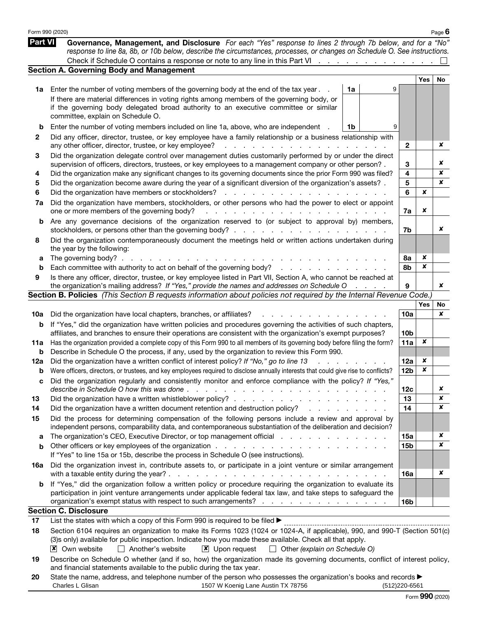|                | Form 990 (2020)                                                                                                                                                                                                                                    |    |   |                 |     | Page $6$         |
|----------------|----------------------------------------------------------------------------------------------------------------------------------------------------------------------------------------------------------------------------------------------------|----|---|-----------------|-----|------------------|
| <b>Part VI</b> | Governance, Management, and Disclosure For each "Yes" response to lines 2 through 7b below, and for a "No"<br>response to line 8a, 8b, or 10b below, describe the circumstances, processes, or changes on Schedule O. See instructions.            |    |   |                 |     |                  |
|                | Check if Schedule O contains a response or note to any line in this Part VI                                                                                                                                                                        |    |   |                 |     |                  |
|                | Section A. Governing Body and Management                                                                                                                                                                                                           |    |   |                 |     |                  |
|                |                                                                                                                                                                                                                                                    | 1a | 9 |                 | Yes | No.              |
| 1a             | Enter the number of voting members of the governing body at the end of the tax year.                                                                                                                                                               |    |   |                 |     |                  |
|                | If there are material differences in voting rights among members of the governing body, or<br>if the governing body delegated broad authority to an executive committee or similar                                                                 |    |   |                 |     |                  |
|                | committee, explain on Schedule O.                                                                                                                                                                                                                  |    |   |                 |     |                  |
| b              | Enter the number of voting members included on line 1a, above, who are independent                                                                                                                                                                 | 1b | 9 |                 |     |                  |
| 2              | Did any officer, director, trustee, or key employee have a family relationship or a business relationship with                                                                                                                                     |    |   |                 |     |                  |
|                | any other officer, director, trustee, or key employee?<br>and a strategic control of the state of the                                                                                                                                              |    |   | $\mathbf{2}$    |     | x                |
| 3              | Did the organization delegate control over management duties customarily performed by or under the direct                                                                                                                                          |    |   |                 |     |                  |
|                | supervision of officers, directors, trustees, or key employees to a management company or other person?.                                                                                                                                           |    |   | 3               |     | x                |
| 4              | Did the organization make any significant changes to its governing documents since the prior Form 990 was filed?                                                                                                                                   |    |   | 4               |     | ×                |
| 5              | Did the organization become aware during the year of a significant diversion of the organization's assets?.                                                                                                                                        |    |   | 5               |     | ×                |
| 6              | Did the organization have members or stockholders?<br><b>Contract Contract</b>                                                                                                                                                                     |    |   | 6               | ×   |                  |
| 7a             | Did the organization have members, stockholders, or other persons who had the power to elect or appoint<br>one or more members of the governing body?                                                                                              |    |   | 7a              | ×   |                  |
| b              | Are any governance decisions of the organization reserved to (or subject to approval by) members,                                                                                                                                                  |    |   |                 |     |                  |
|                |                                                                                                                                                                                                                                                    |    |   | 7b              |     | x                |
| 8              | Did the organization contemporaneously document the meetings held or written actions undertaken during                                                                                                                                             |    |   |                 |     |                  |
|                | the year by the following:                                                                                                                                                                                                                         |    |   |                 |     |                  |
| а              | The governing body? $\ldots$                                                                                                                                                                                                                       |    |   | 8a              | ×   |                  |
| b              | Each committee with authority to act on behalf of the governing body?                                                                                                                                                                              |    |   | 8b              | x   |                  |
| 9              | Is there any officer, director, trustee, or key employee listed in Part VII, Section A, who cannot be reached at<br>the organization's mailing address? If "Yes," provide the names and addresses on Schedule O                                    |    |   | 9               |     | x                |
|                | Section B. Policies (This Section B requests information about policies not required by the Internal Revenue Code.)                                                                                                                                |    |   |                 |     |                  |
|                |                                                                                                                                                                                                                                                    |    |   |                 | Yes | No.              |
| 10a            | Did the organization have local chapters, branches, or affiliates?                                                                                                                                                                                 |    |   | 10a             |     | x                |
| b              | If "Yes," did the organization have written policies and procedures governing the activities of such chapters,                                                                                                                                     |    |   |                 |     |                  |
|                | affiliates, and branches to ensure their operations are consistent with the organization's exempt purposes?                                                                                                                                        |    |   | 10 <sub>b</sub> |     |                  |
| 11a            | Has the organization provided a complete copy of this Form 990 to all members of its governing body before filing the form?                                                                                                                        |    |   | 11a             | ×   |                  |
| b              | Describe in Schedule O the process, if any, used by the organization to review this Form 990.                                                                                                                                                      |    |   |                 |     |                  |
| 12a            | Did the organization have a written conflict of interest policy? If "No," go to line 13                                                                                                                                                            |    |   | 12a             | ×   |                  |
| b              | Were officers, directors, or trustees, and key employees required to disclose annually interests that could give rise to conflicts?                                                                                                                |    |   | 12 <sub>b</sub> | x   |                  |
| с              | Did the organization regularly and consistently monitor and enforce compliance with the policy? If "Yes,                                                                                                                                           |    |   |                 |     |                  |
|                | describe in Schedule O how this was done $\cdots$ , $\cdots$ , $\cdots$ , $\cdots$ , $\cdots$ , $\cdots$ , $\cdots$ , $\cdots$ , $\cdots$                                                                                                          |    |   | 12c             |     | x                |
| 13             |                                                                                                                                                                                                                                                    |    |   | 13              |     | $\boldsymbol{x}$ |
| 14             | Did the organization have a written document retention and destruction policy?<br>and the company of the company of                                                                                                                                |    |   | 14              |     | ×                |
| 15             | Did the process for determining compensation of the following persons include a review and approval by<br>independent persons, comparability data, and contemporaneous substantiation of the deliberation and decision?                            |    |   |                 |     |                  |
| a              | The organization's CEO, Executive Director, or top management official                                                                                                                                                                             |    |   | 15a             |     | x                |
| b              |                                                                                                                                                                                                                                                    |    |   | <b>15b</b>      |     | ×                |
|                | If "Yes" to line 15a or 15b, describe the process in Schedule O (see instructions).                                                                                                                                                                |    |   |                 |     |                  |
| 16a            | Did the organization invest in, contribute assets to, or participate in a joint venture or similar arrangement                                                                                                                                     |    |   | 16a             |     | ×                |
| b              | If "Yes," did the organization follow a written policy or procedure requiring the organization to evaluate its<br>participation in joint venture arrangements under applicable federal tax law, and take steps to safeguard the                    |    |   |                 |     |                  |
|                | organization's exempt status with respect to such arrangements?                                                                                                                                                                                    |    |   | 16 <sub>b</sub> |     |                  |
|                | <b>Section C. Disclosure</b>                                                                                                                                                                                                                       |    |   |                 |     |                  |
| 17             | List the states with which a copy of this Form 990 is required to be filed >                                                                                                                                                                       |    |   |                 |     |                  |
| 18             | Section 6104 requires an organization to make its Forms 1023 (1024 or 1024-A, if applicable), 990, and 990-T (Section 501(c)                                                                                                                       |    |   |                 |     |                  |
|                | (3)s only) available for public inspection. Indicate how you made these available. Check all that apply.<br>$\mathsf{\times}$ Own website<br>$\Box$ Another's website<br>$\boxed{\mathsf{x}}$ Upon request<br>$\Box$ Other (explain on Schedule O) |    |   |                 |     |                  |
| 19             | Describe on Schedule O whether (and if so, how) the organization made its governing documents, conflict of interest policy,                                                                                                                        |    |   |                 |     |                  |
| 20             | and financial statements available to the public during the tax year.<br>State the name, address, and telephone number of the person who possesses the organization's books and records $\blacktriangleright$                                      |    |   |                 |     |                  |
|                | 1507 W Koenig Lane Austin TX 78756<br>Charles L Glisan                                                                                                                                                                                             |    |   | (512) 220-6561  |     |                  |
|                |                                                                                                                                                                                                                                                    |    |   |                 |     |                  |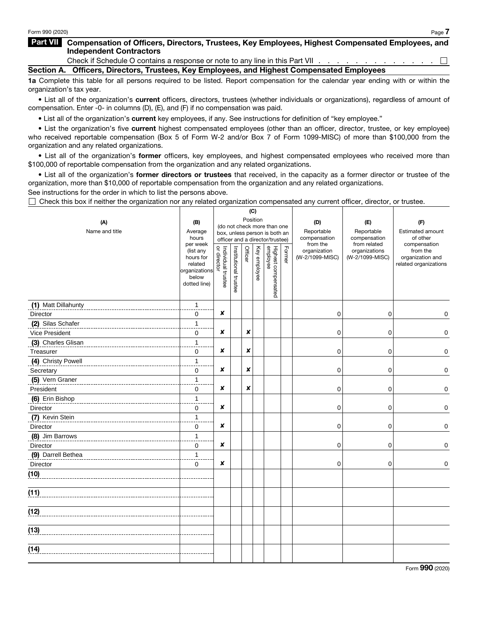## Part VII Compensation of Officers, Directors, Trustees, Key Employees, Highest Compensated Employees, and Independent Contractors

Check if Schedule O contains a response or note to any line in this Part VII . . .  $\Box$ Section A. Officers, Directors, Trustees, Key Employees, and Highest Compensated Employees

1a Complete this table for all persons required to be listed. Report compensation for the calendar year ending with or within the organization's tax year.

• List all of the organization's current officers, directors, trustees (whether individuals or organizations), regardless of amount of compensation. Enter -0- in columns (D), (E), and (F) if no compensation was paid.

• List all of the organization's current key employees, if any. See instructions for definition of "key employee."

• List the organization's five current highest compensated employees (other than an officer, director, trustee, or key employee) who received reportable compensation (Box 5 of Form W-2 and/or Box 7 of Form 1099-MISC) of more than \$100,000 from the organization and any related organizations.

• List all of the organization's former officers, key employees, and highest compensated employees who received more than \$100,000 of reportable compensation from the organization and any related organizations.

• List all of the organization's former directors or trustees that received, in the capacity as a former director or trustee of the organization, more than \$10,000 of reportable compensation from the organization and any related organizations.

See instructions for the order in which to list the persons above.

 $\Box$  Check this box if neither the organization nor any related organization compensated any current officer, director, or trustee.

|                     |                       |                                         |                       | (C)                           |              |                                 |        |                          |                              |                                           |
|---------------------|-----------------------|-----------------------------------------|-----------------------|-------------------------------|--------------|---------------------------------|--------|--------------------------|------------------------------|-------------------------------------------|
| (A)                 | (B)                   | Position<br>(do not check more than one |                       |                               |              |                                 |        | (D)                      | (E)                          | (F)                                       |
| Name and title      | Average               |                                         |                       | box, unless person is both an |              |                                 |        | Reportable               | Reportable                   | Estimated amount                          |
|                     | hours<br>per week     |                                         |                       |                               |              | officer and a director/trustee) |        | compensation<br>from the | compensation<br>from related | of other<br>compensation                  |
|                     | (list any             | Individual trustee<br>or director       | Institutional trustee | Officer                       | Key employee |                                 | Former | organization             | organizations                | from the                                  |
|                     | hours for<br>related  |                                         |                       |                               |              |                                 |        | (W-2/1099-MISC)          | (W-2/1099-MISC)              | organization and<br>related organizations |
|                     | organizations         |                                         |                       |                               |              |                                 |        |                          |                              |                                           |
|                     | below<br>dotted line) |                                         |                       |                               |              |                                 |        |                          |                              |                                           |
|                     |                       |                                         |                       |                               |              | Highest compensated<br>employee |        |                          |                              |                                           |
| (1) Matt Dillahunty | $\mathbf{1}$          |                                         |                       |                               |              |                                 |        |                          |                              |                                           |
| Director            | $\mathbf 0$           | ×                                       |                       |                               |              |                                 |        | 0                        | 0                            | 0                                         |
| (2) Silas Schafer   | $\mathbf{1}$          |                                         |                       |                               |              |                                 |        |                          |                              |                                           |
| Vice President      | 0                     | ×                                       |                       | x                             |              |                                 |        | 0                        | 0                            | 0                                         |
| (3) Charles Glisan  | $\mathbf{1}$          |                                         |                       |                               |              |                                 |        |                          |                              |                                           |
| Treasurer           | 0                     | ×                                       |                       | ×                             |              |                                 |        | 0                        | 0                            | $\mathbf 0$                               |
| (4) Christy Powell  | $\mathbf{1}$          |                                         |                       |                               |              |                                 |        |                          |                              |                                           |
| Secretary           | 0                     | ×                                       |                       | x                             |              |                                 |        | 0                        | 0                            | $\mathbf 0$                               |
| (5) Vern Graner     | $\mathbf{1}$          |                                         |                       |                               |              |                                 |        |                          |                              |                                           |
| President           | $\mathbf 0$           | ×                                       |                       | ×                             |              |                                 |        | 0                        | 0                            | $\mathbf 0$                               |
| (6) Erin Bishop     | $\mathbf{1}$          |                                         |                       |                               |              |                                 |        |                          |                              |                                           |
| Director            | 0                     | ×                                       |                       |                               |              |                                 |        | 0                        | 0                            | $\pmb{0}$                                 |
| (7) Kevin Stein     | $\mathbf{1}$          |                                         |                       |                               |              |                                 |        |                          |                              |                                           |
| Director            | $\mathbf 0$           | ×                                       |                       |                               |              |                                 |        | 0                        | 0                            | $\mathbf 0$                               |
| (8) Jim Barrows     | $\mathbf{1}$          |                                         |                       |                               |              |                                 |        |                          |                              |                                           |
| Director            | $\mathbf 0$           | ×                                       |                       |                               |              |                                 |        | 0                        | 0                            | $\mathbf 0$                               |
| (9) Darrell Bethea  | $\mathbf{1}$          |                                         |                       |                               |              |                                 |        |                          |                              |                                           |
| Director            | $\mathbf 0$           | ×                                       |                       |                               |              |                                 |        | 0                        | 0                            | $\mathbf 0$                               |
| (10)                |                       |                                         |                       |                               |              |                                 |        |                          |                              |                                           |
| (11)                |                       |                                         |                       |                               |              |                                 |        |                          |                              |                                           |
| (12)                |                       |                                         |                       |                               |              |                                 |        |                          |                              |                                           |
|                     |                       |                                         |                       |                               |              |                                 |        |                          |                              |                                           |
| (13)                |                       |                                         |                       |                               |              |                                 |        |                          |                              |                                           |
| (14)                |                       |                                         |                       |                               |              |                                 |        |                          |                              |                                           |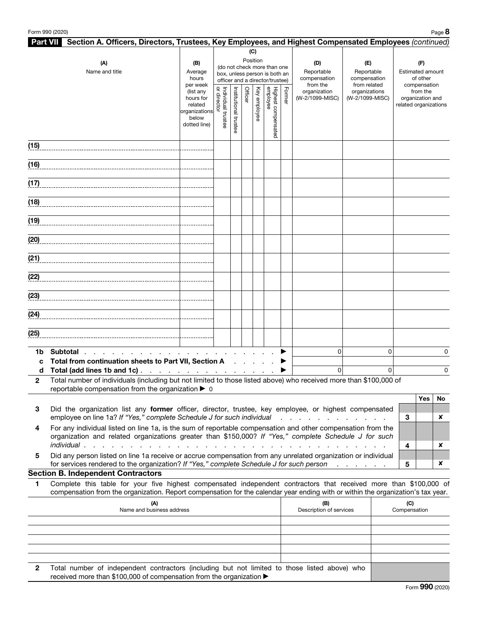|              | Part VII Section A. Officers, Directors, Trustees, Key Employees, and Highest Compensated Employees (continued)                                                                                                                                        |                                                                             |                                                                                                                    |                          |         |              |                                 |        |                                               |                                                   |          |                                                     |                              |    |
|--------------|--------------------------------------------------------------------------------------------------------------------------------------------------------------------------------------------------------------------------------------------------------|-----------------------------------------------------------------------------|--------------------------------------------------------------------------------------------------------------------|--------------------------|---------|--------------|---------------------------------|--------|-----------------------------------------------|---------------------------------------------------|----------|-----------------------------------------------------|------------------------------|----|
|              | (A)<br>Name and title                                                                                                                                                                                                                                  | (B)<br>Average<br>hours<br>per week                                         | (C)<br>Position<br>(do not check more than one<br>box, unless person is both an<br>officer and a director/trustee) |                          |         |              |                                 |        | (D)<br>Reportable<br>compensation<br>from the | (E)<br>Reportable<br>compensation<br>from related |          | (F)<br>Estimated amount<br>of other<br>compensation |                              |    |
|              |                                                                                                                                                                                                                                                        | (list any<br>hours for<br>related<br>organizations<br>below<br>dotted line) | Individual trustee<br>or director                                                                                  | Institutional<br>trustee | Officer | Key employee | Highest compensated<br>employee | Former | organization<br>(W-2/1099-MISC)               | organizations<br>(W-2/1099-MISC)                  |          | related organizations                               | from the<br>organization and |    |
| (15)         |                                                                                                                                                                                                                                                        |                                                                             |                                                                                                                    |                          |         |              |                                 |        |                                               |                                                   |          |                                                     |                              |    |
| (16)         |                                                                                                                                                                                                                                                        |                                                                             |                                                                                                                    |                          |         |              |                                 |        |                                               |                                                   |          |                                                     |                              |    |
| (17)         |                                                                                                                                                                                                                                                        |                                                                             |                                                                                                                    |                          |         |              |                                 |        |                                               |                                                   |          |                                                     |                              |    |
| (18)         |                                                                                                                                                                                                                                                        |                                                                             |                                                                                                                    |                          |         |              |                                 |        |                                               |                                                   |          |                                                     |                              |    |
| (19)         |                                                                                                                                                                                                                                                        |                                                                             |                                                                                                                    |                          |         |              |                                 |        |                                               |                                                   |          |                                                     |                              |    |
| (20)         |                                                                                                                                                                                                                                                        |                                                                             |                                                                                                                    |                          |         |              |                                 |        |                                               |                                                   |          |                                                     |                              |    |
| (21)         |                                                                                                                                                                                                                                                        |                                                                             |                                                                                                                    |                          |         |              |                                 |        |                                               |                                                   |          |                                                     |                              |    |
| (22)         |                                                                                                                                                                                                                                                        |                                                                             |                                                                                                                    |                          |         |              |                                 |        |                                               |                                                   |          |                                                     |                              |    |
| (23)         |                                                                                                                                                                                                                                                        |                                                                             |                                                                                                                    |                          |         |              |                                 |        |                                               |                                                   |          |                                                     |                              |    |
| (24)         |                                                                                                                                                                                                                                                        |                                                                             |                                                                                                                    |                          |         |              |                                 |        |                                               |                                                   |          |                                                     |                              |    |
| (25)         |                                                                                                                                                                                                                                                        |                                                                             |                                                                                                                    |                          |         |              |                                 |        |                                               |                                                   |          |                                                     |                              |    |
| 1b.          | <b>Subtotal</b><br>the contract of the contract of the                                                                                                                                                                                                 |                                                                             |                                                                                                                    |                          |         |              |                                 |        | $\Omega$                                      |                                                   | $\Omega$ |                                                     |                              | 0  |
| C<br>d       | Total from continuation sheets to Part VII, Section A<br>Total (add lines 1b and 1c)                                                                                                                                                                   |                                                                             |                                                                                                                    |                          |         |              |                                 |        | $\overline{0}$                                |                                                   | $\Omega$ |                                                     |                              | 0  |
| $\mathbf{2}$ | Total number of individuals (including but not limited to those listed above) who received more than \$100,000 of                                                                                                                                      |                                                                             |                                                                                                                    |                          |         |              |                                 |        |                                               |                                                   |          |                                                     |                              |    |
|              | reportable compensation from the organization $\blacktriangleright$ 0                                                                                                                                                                                  |                                                                             |                                                                                                                    |                          |         |              |                                 |        |                                               |                                                   |          |                                                     | Yes                          | No |
| 3            | Did the organization list any former officer, director, trustee, key employee, or highest compensated<br>employee on line 1a? If "Yes," complete Schedule J for such individual                                                                        |                                                                             |                                                                                                                    |                          |         |              |                                 |        |                                               |                                                   |          | 3                                                   |                              | x  |
| 4            | For any individual listed on line 1a, is the sum of reportable compensation and other compensation from the<br>organization and related organizations greater than \$150,000? If "Yes," complete Schedule J for such                                   |                                                                             |                                                                                                                    |                          |         |              |                                 |        |                                               |                                                   |          |                                                     |                              |    |
| 5            | individual.<br>Did any person listed on line 1a receive or accrue compensation from any unrelated organization or individual                                                                                                                           |                                                                             |                                                                                                                    |                          |         |              |                                 |        |                                               |                                                   |          | 4                                                   |                              | x  |
|              | for services rendered to the organization? If "Yes," complete Schedule J for such person<br><b>Section B. Independent Contractors</b>                                                                                                                  |                                                                             |                                                                                                                    |                          |         |              |                                 |        |                                               | the contract of the contract of                   |          | 5                                                   |                              | x  |
| 1            | Complete this table for your five highest compensated independent contractors that received more than \$100,000 of<br>compensation from the organization. Report compensation for the calendar year ending with or within the organization's tax year. |                                                                             |                                                                                                                    |                          |         |              |                                 |        |                                               |                                                   |          |                                                     |                              |    |
|              | (M)<br>Name and business address                                                                                                                                                                                                                       |                                                                             |                                                                                                                    |                          |         |              |                                 |        | (B)<br>Description of services                |                                                   |          | (C)<br>Compensation                                 |                              |    |
|              |                                                                                                                                                                                                                                                        |                                                                             |                                                                                                                    |                          |         |              |                                 |        |                                               |                                                   |          |                                                     |                              |    |
|              |                                                                                                                                                                                                                                                        |                                                                             |                                                                                                                    |                          |         |              |                                 |        |                                               |                                                   |          |                                                     |                              |    |
|              |                                                                                                                                                                                                                                                        |                                                                             |                                                                                                                    |                          |         |              |                                 |        |                                               |                                                   |          |                                                     |                              |    |

2 Total number of independent contractors (including but not limited to those listed above) who received more than \$100,000 of compensation from the organization ▶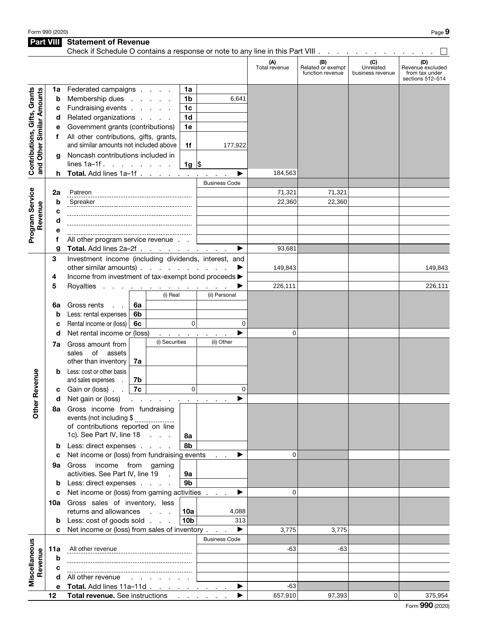Part VIII Statement of Revenue

|                                                           |        | Check if Schedule O contains a response or note to any line in this Part VIII |                                          |                                                 |                           |                      |                      |                                              |                                      |                                                               |
|-----------------------------------------------------------|--------|-------------------------------------------------------------------------------|------------------------------------------|-------------------------------------------------|---------------------------|----------------------|----------------------|----------------------------------------------|--------------------------------------|---------------------------------------------------------------|
|                                                           |        |                                                                               |                                          |                                                 |                           |                      | (A)<br>Total revenue | (B)<br>Related or exempt<br>function revenue | (C)<br>Unrelated<br>business revenue | (D)<br>Revenue excluded<br>from tax under<br>sections 512-514 |
|                                                           | 1a     | Federated campaigns                                                           |                                          |                                                 | 1a                        |                      |                      |                                              |                                      |                                                               |
| Contributions, Gifts, Grants<br>and Other Similar Amounts | b      | Membership dues                                                               |                                          |                                                 | 1b                        | 6,641                |                      |                                              |                                      |                                                               |
|                                                           | с      | Fundraising events<br>1 <sub>c</sub>                                          |                                          |                                                 |                           |                      |                      |                                              |                                      |                                                               |
|                                                           | d      | Related organizations<br>1 <sub>d</sub>                                       |                                          |                                                 |                           |                      |                      |                                              |                                      |                                                               |
|                                                           | е      | Government grants (contributions)<br>1e                                       |                                          |                                                 |                           |                      |                      |                                              |                                      |                                                               |
|                                                           | f      | All other contributions, gifts, grants,                                       |                                          |                                                 |                           |                      |                      |                                              |                                      |                                                               |
|                                                           |        | and similar amounts not included above<br>1f                                  |                                          |                                                 | 177,922                   |                      |                      |                                              |                                      |                                                               |
|                                                           | g      | Noncash contributions included in                                             |                                          |                                                 |                           |                      |                      |                                              |                                      |                                                               |
|                                                           |        | lines $1a-1f$ .                                                               |                                          |                                                 | $1g \,$ \$                |                      |                      |                                              |                                      |                                                               |
|                                                           | h      | Total. Add lines 1a-1f                                                        |                                          |                                                 |                           |                      | 184,563              |                                              |                                      |                                                               |
|                                                           |        |                                                                               |                                          |                                                 |                           | <b>Business Code</b> |                      |                                              |                                      |                                                               |
|                                                           | 2a     | Patreon                                                                       |                                          |                                                 |                           |                      | 71,321               | 71,321                                       |                                      |                                                               |
|                                                           | b      | Spreaker                                                                      |                                          |                                                 |                           |                      | 22,360               | 22,360                                       |                                      |                                                               |
|                                                           | c      |                                                                               |                                          |                                                 |                           |                      |                      |                                              |                                      |                                                               |
| Revenue                                                   | d      |                                                                               |                                          |                                                 |                           |                      |                      |                                              |                                      |                                                               |
| Program Service                                           | е      |                                                                               |                                          |                                                 |                           |                      |                      |                                              |                                      |                                                               |
|                                                           | f      | All other program service revenue.                                            |                                          |                                                 |                           |                      |                      |                                              |                                      |                                                               |
|                                                           | g      | Total. Add lines 2a-2f                                                        |                                          |                                                 |                           |                      | 93,681               |                                              |                                      |                                                               |
|                                                           | 3      | Investment income (including dividends, interest, and                         |                                          |                                                 |                           |                      |                      |                                              |                                      |                                                               |
|                                                           |        | other similar amounts) $\ldots$ $\ldots$ $\ldots$                             |                                          |                                                 |                           |                      | 149,843              |                                              |                                      | 149,843                                                       |
|                                                           | 4      | Income from investment of tax-exempt bond proceeds >                          |                                          |                                                 |                           |                      |                      |                                              |                                      |                                                               |
|                                                           | 5      | Royalties                                                                     |                                          | and a series of the contract of the<br>(i) Real |                           | (ii) Personal        | 226,111              |                                              |                                      | 226,111                                                       |
|                                                           |        | Gross rents                                                                   |                                          |                                                 |                           |                      |                      |                                              |                                      |                                                               |
|                                                           | 6а     | $\mathbf{L} = \mathbf{L}$<br>Less: rental expenses                            | 6a<br>6 <sub>b</sub>                     |                                                 |                           |                      |                      |                                              |                                      |                                                               |
|                                                           | b<br>c | Rental income or (loss)                                                       | 6c                                       |                                                 | $\mathbf 0$               | 0                    |                      |                                              |                                      |                                                               |
|                                                           | d      | Net rental income or (loss)                                                   |                                          |                                                 |                           |                      | 0                    |                                              |                                      |                                                               |
|                                                           |        |                                                                               |                                          | (i) Securities                                  | <b>Contract</b><br>$\sim$ | (ii) Other           |                      |                                              |                                      |                                                               |
|                                                           | 7a     | Gross amount from<br>of<br>assets<br>sales                                    |                                          |                                                 |                           |                      |                      |                                              |                                      |                                                               |
|                                                           |        | other than inventory                                                          | 7a                                       |                                                 |                           |                      |                      |                                              |                                      |                                                               |
|                                                           | b      | Less: cost or other basis                                                     |                                          |                                                 |                           |                      |                      |                                              |                                      |                                                               |
| Revenue                                                   |        | and sales expenses                                                            | 7b                                       |                                                 |                           |                      |                      |                                              |                                      |                                                               |
|                                                           | с      | Gain or (loss).                                                               | 7c                                       |                                                 | 0                         | 0                    |                      |                                              |                                      |                                                               |
|                                                           | d      | Net gain or (loss)                                                            | the contract of the contract of the con- |                                                 |                           |                      |                      |                                              |                                      |                                                               |
| Other                                                     | 8a     | Gross income from fundraising                                                 |                                          |                                                 |                           |                      |                      |                                              |                                      |                                                               |
|                                                           |        | events (not including \$                                                      |                                          |                                                 |                           |                      |                      |                                              |                                      |                                                               |
|                                                           |        | of contributions reported on line                                             |                                          |                                                 |                           |                      |                      |                                              |                                      |                                                               |
|                                                           |        | 1c). See Part IV, line 18                                                     |                                          |                                                 | 8а                        |                      |                      |                                              |                                      |                                                               |
|                                                           | b      | Less: direct expenses                                                         |                                          |                                                 | 8b                        |                      |                      |                                              |                                      |                                                               |
|                                                           | c      | Net income or (loss) from fundraising events                                  |                                          |                                                 |                           | ▶                    | 0                    |                                              |                                      |                                                               |
|                                                           | 9а     | Gross income from gaming                                                      |                                          |                                                 |                           |                      |                      |                                              |                                      |                                                               |
|                                                           |        | activities. See Part IV, line 19<br>9а<br>$\sim$                              |                                          |                                                 |                           |                      |                      |                                              |                                      |                                                               |
|                                                           | b      |                                                                               | 9b<br>Less: direct expenses              |                                                 |                           |                      |                      |                                              |                                      |                                                               |
|                                                           | c      | Net income or (loss) from gaming activities                                   |                                          |                                                 | ▶                         | 0                    |                      |                                              |                                      |                                                               |
|                                                           |        | 10a Gross sales of inventory, less                                            |                                          |                                                 | 4,088                     |                      |                      |                                              |                                      |                                                               |
|                                                           | b      | returns and allowances<br>10a<br>Less: cost of goods sold<br>10 <sub>b</sub>  |                                          |                                                 |                           | 313                  |                      |                                              |                                      |                                                               |
|                                                           | C      | Net income or (loss) from sales of inventory                                  |                                          |                                                 |                           | ▶                    | 3,775                | 3,775                                        |                                      |                                                               |
|                                                           |        |                                                                               |                                          |                                                 |                           | <b>Business Code</b> |                      |                                              |                                      |                                                               |
| Miscellaneous                                             | 11a    | All other revenue                                                             |                                          |                                                 |                           |                      | -63                  | -63                                          |                                      |                                                               |
| Revenue                                                   | b      |                                                                               |                                          |                                                 |                           |                      |                      |                                              |                                      |                                                               |
|                                                           | с      |                                                                               |                                          |                                                 |                           |                      |                      |                                              |                                      |                                                               |
|                                                           | d      | All other revenue                                                             |                                          | the company of the company of                   |                           |                      |                      |                                              |                                      |                                                               |
|                                                           | е      | Total. Add lines 11a-11d                                                      |                                          |                                                 |                           | ▶                    | $-63$                |                                              |                                      |                                                               |
|                                                           | 12     | <b>Total revenue.</b> See instructions                                        |                                          |                                                 |                           |                      | 657,910              | 97,393                                       | 0                                    | 375,954                                                       |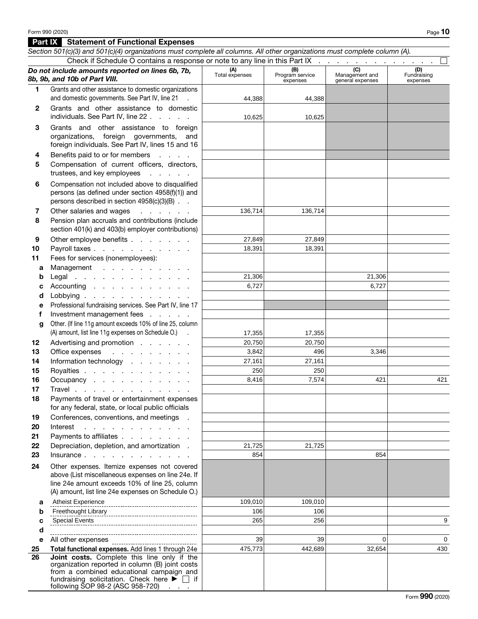## Part IX Statement of Functional Expenses

|                 | Section 501(c)(3) and 501(c)(4) organizations must complete all columns. All other organizations must complete column (A).                                                                                                                           |                       |                                    |                                           |                                |
|-----------------|------------------------------------------------------------------------------------------------------------------------------------------------------------------------------------------------------------------------------------------------------|-----------------------|------------------------------------|-------------------------------------------|--------------------------------|
|                 | Check if Schedule O contains a response or note to any line in this Part IX                                                                                                                                                                          |                       |                                    |                                           |                                |
|                 | Do not include amounts reported on lines 6b, 7b,<br>8b, 9b, and 10b of Part VIII.                                                                                                                                                                    | (A)<br>Total expenses | (B)<br>Program service<br>expenses | (C)<br>Management and<br>general expenses | (D)<br>Fundraising<br>expenses |
| 1               | Grants and other assistance to domestic organizations<br>and domestic governments. See Part IV, line 21                                                                                                                                              |                       |                                    |                                           |                                |
|                 |                                                                                                                                                                                                                                                      | 44,388                | 44,388                             |                                           |                                |
| $\mathbf{2}$    | Grants and other assistance to domestic<br>individuals. See Part IV, line 22                                                                                                                                                                         | 10,625                | 10,625                             |                                           |                                |
| 3               | Grants and other assistance to foreign<br>organizations, foreign governments, and<br>foreign individuals. See Part IV, lines 15 and 16                                                                                                               |                       |                                    |                                           |                                |
| 4<br>5          | Benefits paid to or for members<br>Compensation of current officers, directors,<br>trustees, and key employees                                                                                                                                       |                       |                                    |                                           |                                |
| 6               | Compensation not included above to disqualified<br>persons (as defined under section 4958(f)(1)) and<br>persons described in section 4958(c)(3)(B)                                                                                                   |                       |                                    |                                           |                                |
| 7               | Other salaries and wages<br>and the company of the                                                                                                                                                                                                   | 136,714               | 136,714                            |                                           |                                |
| 8               | Pension plan accruals and contributions (include<br>section 401(k) and 403(b) employer contributions)                                                                                                                                                |                       |                                    |                                           |                                |
| 9               | Other employee benefits                                                                                                                                                                                                                              | 27,849                | 27,849                             |                                           |                                |
| 10              | Payroll taxes                                                                                                                                                                                                                                        | 18,391                | 18,391                             |                                           |                                |
| 11              | Fees for services (nonemployees):                                                                                                                                                                                                                    |                       |                                    |                                           |                                |
| a               | Management                                                                                                                                                                                                                                           |                       |                                    |                                           |                                |
| b               | Legal                                                                                                                                                                                                                                                | 21,306                |                                    | 21,306                                    |                                |
| c               | Accounting                                                                                                                                                                                                                                           | 6,727                 |                                    | 6,727                                     |                                |
| d               | Lobbying                                                                                                                                                                                                                                             |                       |                                    |                                           |                                |
| е               | Professional fundraising services. See Part IV, line 17                                                                                                                                                                                              |                       |                                    |                                           |                                |
| f               | Investment management fees                                                                                                                                                                                                                           |                       |                                    |                                           |                                |
| g               | Other. (If line 11g amount exceeds 10% of line 25, column<br>(A) amount, list line 11g expenses on Schedule O.) .                                                                                                                                    | 17,355                | 17,355                             |                                           |                                |
| 12 <sub>2</sub> | Advertising and promotion                                                                                                                                                                                                                            | 20,750                | 20,750                             |                                           |                                |
| 13              | Office expenses<br>and the contract of the con-                                                                                                                                                                                                      | 3,842                 | 496                                | 3,346                                     |                                |
| 14              | Information technology                                                                                                                                                                                                                               | 27,161                | 27,161                             |                                           |                                |
| 15              | Royalties                                                                                                                                                                                                                                            | 250                   | 250                                |                                           |                                |
| 16              | Occupancy                                                                                                                                                                                                                                            | 8,416                 | 7,574                              | 421                                       | 421                            |
| 17              | Travel                                                                                                                                                                                                                                               |                       |                                    |                                           |                                |
| 18              | Payments of travel or entertainment expenses<br>for any federal, state, or local public officials                                                                                                                                                    |                       |                                    |                                           |                                |
| 19              | Conferences, conventions, and meetings                                                                                                                                                                                                               |                       |                                    |                                           |                                |
| 20              | and the state of the state of the state of the state of the state of the state of the state of the state of the<br>Interest                                                                                                                          |                       |                                    |                                           |                                |
| 21              | Payments to affiliates                                                                                                                                                                                                                               |                       |                                    |                                           |                                |
| 22              | Depreciation, depletion, and amortization.                                                                                                                                                                                                           | 21,725                | 21,725                             |                                           |                                |
| 23              | Insurance.                                                                                                                                                                                                                                           | 854                   |                                    | 854                                       |                                |
| 24              | Other expenses. Itemize expenses not covered<br>above (List miscellaneous expenses on line 24e. If<br>line 24e amount exceeds 10% of line 25, column                                                                                                 |                       |                                    |                                           |                                |
|                 | (A) amount, list line 24e expenses on Schedule O.)                                                                                                                                                                                                   |                       |                                    |                                           |                                |
| a               | <b>Atheist Experience</b>                                                                                                                                                                                                                            | 109,010               | 109,010                            |                                           |                                |
| b               | Freethought Library                                                                                                                                                                                                                                  | 106                   | 106                                |                                           |                                |
| c               | <b>Special Events</b>                                                                                                                                                                                                                                | 265                   | 256                                |                                           | 9                              |
| d               |                                                                                                                                                                                                                                                      |                       |                                    |                                           |                                |
| е               | All other expenses<br>------------------------------------                                                                                                                                                                                           | 39                    | 39                                 | 0                                         | 0                              |
| 25              | Total functional expenses. Add lines 1 through 24e                                                                                                                                                                                                   | 475,773               | 442,689                            | 32,654                                    | 430                            |
| 26              | Joint costs. Complete this line only if the<br>organization reported in column (B) joint costs<br>from a combined educational campaign and<br>fundraising solicitation. Check here $\blacktriangleright \Box$ if<br>following SOP 98-2 (ASC 958-720) |                       |                                    |                                           |                                |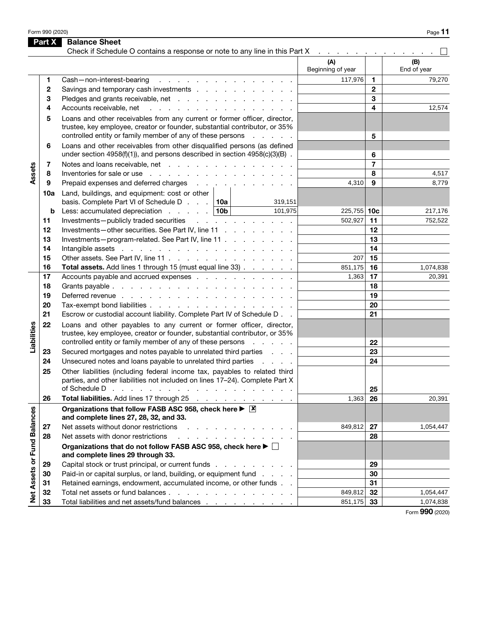Form 990 (2020)  $P_{\text{Age}}$  **11** 

|                             | Part X       | <b>Balance Sheet</b><br>Check if Schedule O contains a response or note to any line in this Part X                                                                                                                                                                                                                                                                                                           | the contract of the contract of the contract of |                |                    |
|-----------------------------|--------------|--------------------------------------------------------------------------------------------------------------------------------------------------------------------------------------------------------------------------------------------------------------------------------------------------------------------------------------------------------------------------------------------------------------|-------------------------------------------------|----------------|--------------------|
|                             |              |                                                                                                                                                                                                                                                                                                                                                                                                              | (A)<br>Beginning of year                        |                | (B)<br>End of year |
|                             | 1            | Cash-non-interest-bearing<br>and the contract of the contract of the contract of the contract of the contract of the contract of the contract of the contract of the contract of the contract of the contract of the contract of the contract of the contra                                                                                                                                                  | 117,976                                         | 1              | 79,270             |
|                             | $\mathbf{2}$ | Savings and temporary cash investments                                                                                                                                                                                                                                                                                                                                                                       |                                                 | $\mathbf{2}$   |                    |
|                             | 3            | Pledges and grants receivable, net                                                                                                                                                                                                                                                                                                                                                                           |                                                 | 3              |                    |
|                             | 4            | Accounts receivable, net                                                                                                                                                                                                                                                                                                                                                                                     |                                                 | 4              | 12,574             |
|                             | 5            | Loans and other receivables from any current or former officer, director,<br>trustee, key employee, creator or founder, substantial contributor, or 35%<br>controlled entity or family member of any of these persons<br>and a strain and a                                                                                                                                                                  |                                                 | 5              |                    |
|                             | 6            | Loans and other receivables from other disqualified persons (as defined<br>under section $4958(f)(1)$ , and persons described in section $4958(c)(3)(B)$ .                                                                                                                                                                                                                                                   |                                                 | 6              |                    |
|                             | 7            | Notes and loans receivable, net                                                                                                                                                                                                                                                                                                                                                                              |                                                 | $\overline{7}$ |                    |
| Assets                      | 8            | Inventories for sale or use reader and reader and reader and reader and reader and reader and reader and reader                                                                                                                                                                                                                                                                                              |                                                 | 8              | 4,517              |
|                             | 9            | Prepaid expenses and deferred charges                                                                                                                                                                                                                                                                                                                                                                        | 4,310                                           | 9              | 8,779              |
|                             | 10a          | Land, buildings, and equipment: cost or other<br>basis. Complete Part VI of Schedule D 10a<br>319,151                                                                                                                                                                                                                                                                                                        |                                                 |                |                    |
|                             | b            | Less: accumulated depreciation $\ldots$ 10b<br>101,975                                                                                                                                                                                                                                                                                                                                                       | 225,755 10c                                     |                | 217,176            |
|                             | 11           | Investments-publicly traded securities<br>and the contract of the contract of                                                                                                                                                                                                                                                                                                                                | 502.927                                         | 11             | 752,522            |
|                             | 12           | Investments-other securities. See Part IV, line 11                                                                                                                                                                                                                                                                                                                                                           |                                                 | 12             |                    |
|                             | 13           | Investments-program-related. See Part IV, line 11                                                                                                                                                                                                                                                                                                                                                            |                                                 | 13             |                    |
|                             | 14           | Intangible assets referred to the contract of the state of the state of the state of the state of the state of                                                                                                                                                                                                                                                                                               |                                                 | 14             |                    |
|                             | 15           | Other assets. See Part IV, line 11                                                                                                                                                                                                                                                                                                                                                                           | 207                                             | 15             |                    |
|                             | 16           | Total assets. Add lines 1 through 15 (must equal line 33)                                                                                                                                                                                                                                                                                                                                                    | 851,175                                         | 16             | 1,074,838          |
|                             | 17           | Accounts payable and accrued expenses                                                                                                                                                                                                                                                                                                                                                                        | 1,363                                           | 17             | 20,391             |
|                             | 18           |                                                                                                                                                                                                                                                                                                                                                                                                              |                                                 | 18             |                    |
|                             | 19           |                                                                                                                                                                                                                                                                                                                                                                                                              |                                                 | 19             |                    |
|                             | 20           | Tax-exempt bond liabilities                                                                                                                                                                                                                                                                                                                                                                                  |                                                 | 20             |                    |
|                             | 21           | Escrow or custodial account liability. Complete Part IV of Schedule D. .                                                                                                                                                                                                                                                                                                                                     |                                                 | 21             |                    |
| Liabilities                 | 22           | Loans and other payables to any current or former officer, director,<br>trustee, key employee, creator or founder, substantial contributor, or 35%                                                                                                                                                                                                                                                           |                                                 |                |                    |
|                             |              | controlled entity or family member of any of these persons<br>and a state of                                                                                                                                                                                                                                                                                                                                 |                                                 | 22             |                    |
|                             | 23           | Secured mortgages and notes payable to unrelated third parties                                                                                                                                                                                                                                                                                                                                               |                                                 | 23             |                    |
|                             | 24           | Unsecured notes and loans payable to unrelated third parties                                                                                                                                                                                                                                                                                                                                                 |                                                 | 24             |                    |
|                             | 25           | Other liabilities (including federal income tax, payables to related third<br>parties, and other liabilities not included on lines 17-24). Complete Part X<br>of Schedule D<br>and a construction of the construction of the construction of the construction of the construction of the construction of the construction of the construction of the construction of the construction of the construction of |                                                 | 25             |                    |
|                             | 26           | Total liabilities. Add lines 17 through 25                                                                                                                                                                                                                                                                                                                                                                   | 1,363                                           | 26             | 20,391             |
| Net Assets or Fund Balances |              | Organizations that follow FASB ASC 958, check here $\triangleright$ $\boxed{\mathsf{X}}$<br>and complete lines 27, 28, 32, and 33.                                                                                                                                                                                                                                                                           |                                                 |                |                    |
|                             | 27           | Net assets without donor restrictions                                                                                                                                                                                                                                                                                                                                                                        | 849,812                                         | 27             | 1,054,447          |
|                             | 28           | Net assets with donor restrictions<br><u>.</u>                                                                                                                                                                                                                                                                                                                                                               |                                                 | 28             |                    |
|                             |              | Organizations that do not follow FASB ASC 958, check here ▶ □<br>and complete lines 29 through 33.                                                                                                                                                                                                                                                                                                           |                                                 |                |                    |
|                             | 29           | Capital stock or trust principal, or current funds                                                                                                                                                                                                                                                                                                                                                           |                                                 | 29             |                    |
|                             | 30           | Paid-in or capital surplus, or land, building, or equipment fund                                                                                                                                                                                                                                                                                                                                             |                                                 | 30             |                    |
|                             | 31           | Retained earnings, endowment, accumulated income, or other funds                                                                                                                                                                                                                                                                                                                                             |                                                 | 31             |                    |
|                             | 32           | Total net assets or fund balances                                                                                                                                                                                                                                                                                                                                                                            | 849,812                                         | 32             | 1,054,447          |
|                             | 33           | Total liabilities and net assets/fund balances                                                                                                                                                                                                                                                                                                                                                               | 851,175                                         | 33             | 1,074,838          |